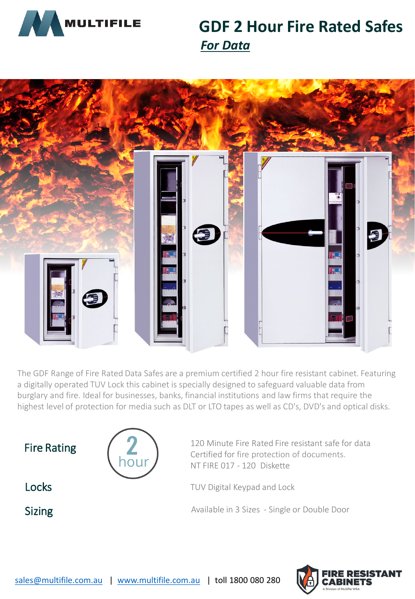

# **GDF 2 Hour Fire Rated Safes** *For Data*



The GDF Range of Fire Rated Data Safes are a premium certified 2 hour fire resistant cabinet. Featuring a digitally operated TUV Lock this cabinet is specially designed to safeguard valuable data from burglary and fire. Ideal for businesses, banks, financial institutions and law firms that require the highest level of protection for media such as DLT or LTO tapes as well as CD's, DVD's and optical disks.



houi

Fire Rating  $\left( \frac{1}{2} \right)$  120 Minute Fire Rated Fire resistant safe for data Certified for fire protection of documents. NT FIRE 017 - 120 Diskette

**Locks** TUV Digital Keypad and Lock

Sizing Sizing Available in 3 Sizes - Single or Double Door

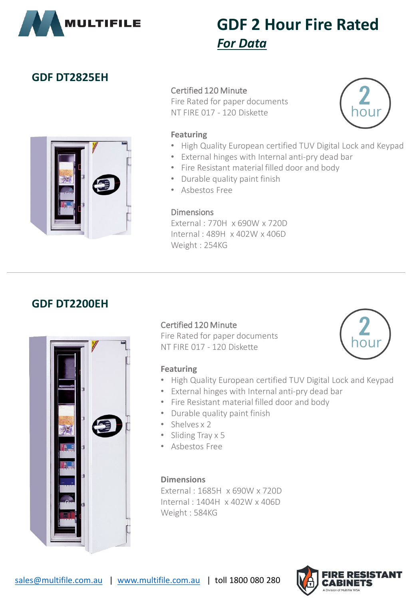

# **GDF 2 Hour Fire Rated** *For Data*

### **GDF DT2825EH**



### Certified 120 Minute

Fire Rated for paper documents NT FIRE 017 - 120 Diskette



### **Featuring**

- High Quality European certified TUV Digital Lock and Keypad
- External hinges with Internal anti-pry dead bar
- Fire Resistant material filled door and body
- Durable quality paint finish
- Asbestos Free

### **Dimensions**

External : 770H x 690W x 720D Internal : 489H x 402W x 406D Weight : 254KG

### **GDF DT2200EH**



### Certified 120 Minute

Fire Rated for paper documents NT FIRE 017 - 120 Diskette



### **Featuring**

- High Quality European certified TUV Digital Lock and Keypad
- External hinges with Internal anti-pry dead bar
- Fire Resistant material filled door and body
- Durable quality paint finish
- Shelves x 2
- Sliding Tray x 5
- Asbestos Free

**Dimensions** External : 1685H x 690W x 720D Internal : 1404H x 402W x 406D Weight : 584KG

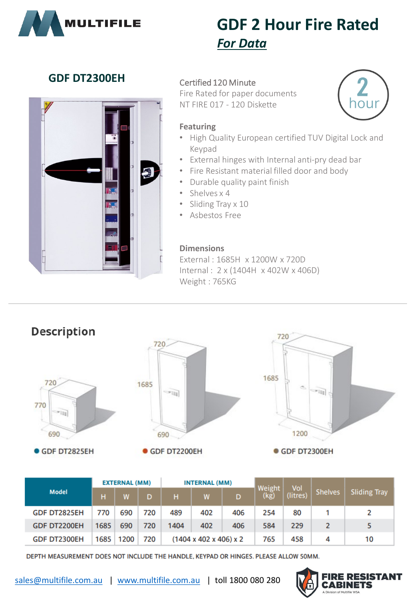

# **GDF 2 Hour Fire Rated** *For Data*

## **GDF DT2300EH** Certified 120 Minute



Fire Rated for paper documents NT FIRE 017 - 120 Diskette



#### **Featuring**

- High Quality European certified TUV Digital Lock and Keypad
- External hinges with Internal anti-pry dead bar
- Fire Resistant material filled door and body
- Durable quality paint finish
- Shelves x 4
- Sliding Tray x 10
- Asbestos Free

### **Dimensions**

External : 1685H x 1200W x 720D Internal : 2 x (1404H x 402W x 406D) Weight : 765KG



|                     |      | <b>EXTERNAL (MM)</b> |     |                                         | <b>INTERNAL (MM)</b> |     |                | Vol      |                |                     |
|---------------------|------|----------------------|-----|-----------------------------------------|----------------------|-----|----------------|----------|----------------|---------------------|
| <b>Model</b>        | н    |                      | D   | н                                       | W                    | D   | Weight<br>(kg) | (litres) | <b>Shelves</b> | <b>Sliding Tray</b> |
| <b>GDF DT2825EH</b> | 770  | 690                  | 720 | 489                                     | 402                  | 406 | 254            | 80       |                |                     |
| <b>GDF DT2200EH</b> | 1685 | 690                  | 720 | 1404                                    | 402                  | 406 | 584            | 229      |                |                     |
| <b>GDF DT2300EH</b> | 1685 | 1200                 | 720 | $(1404 \times 402 \times 406) \times 2$ |                      |     | 765            | 458      | 4              | 10                  |

DEPTH MEASUREMENT DOES NOT INCLUDE THE HANDLE, KEYPAD OR HINGES. PLEASE ALLOW 50MM.